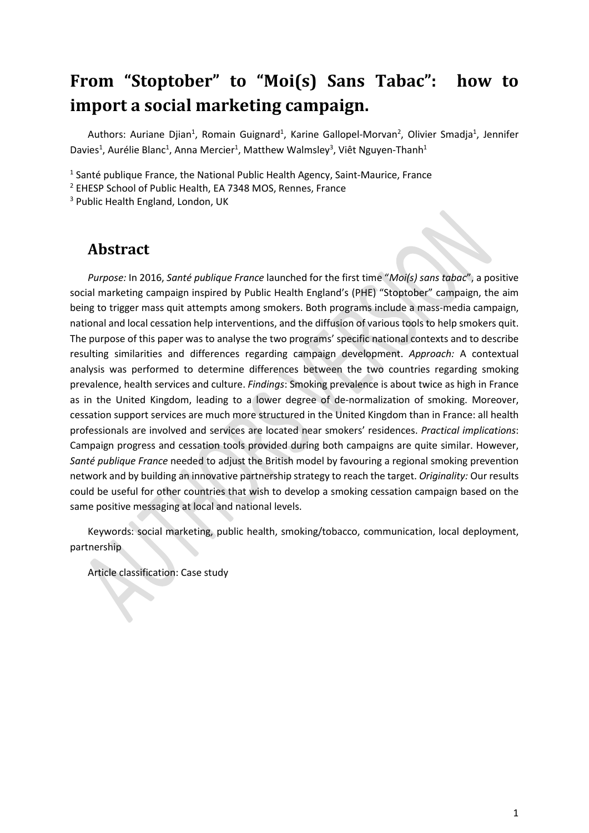# **From "Stoptober" to "Moi(s) Sans Tabac": how to import a social marketing campaign.**

Authors: Auriane Djian<sup>1</sup>, Romain Guignard<sup>1</sup>, Karine Gallopel-Morvan<sup>2</sup>, Olivier Smadja<sup>1</sup>, Jennifer Davies<sup>1</sup>, Aurélie Blanc<sup>1</sup>, Anna Mercier<sup>1</sup>, Matthew Walmsley<sup>3</sup>, Viêt Nguyen-Thanh<sup>1</sup>

 $1$  Santé publique France, the National Public Health Agency, Saint-Maurice, France

<sup>2</sup> EHESP School of Public Health, EA 7348 MOS, Rennes, France

<sup>3</sup> Public Health England, London, UK

### **Abstract**

*Purpose:* In 2016, *Santé publique France* launched for the first time "*Moi(s) sans tabac*", a positive social marketing campaign inspired by Public Health England's (PHE) "Stoptober" campaign, the aim being to trigger mass quit attempts among smokers. Both programs include a mass-media campaign, national and local cessation help interventions, and the diffusion of various tools to help smokers quit. The purpose of this paper was to analyse the two programs' specific national contexts and to describe resulting similarities and differences regarding campaign development. *Approach:* A contextual analysis was performed to determine differences between the two countries regarding smoking prevalence, health services and culture. *Findings*: Smoking prevalence is about twice as high in France as in the United Kingdom, leading to a lower degree of de-normalization of smoking. Moreover, cessation support services are much more structured in the United Kingdom than in France: all health professionals are involved and services are located near smokers' residences. *Practical implications*: Campaign progress and cessation tools provided during both campaigns are quite similar. However, *Santé publique France* needed to adjust the British model by favouring a regional smoking prevention network and by building an innovative partnership strategy to reach the target. *Originality:* Our results could be useful for other countries that wish to develop a smoking cessation campaign based on the same positive messaging at local and national levels.

Keywords: social marketing, public health, smoking/tobacco, communication, local deployment, partnership

Article classification: Case study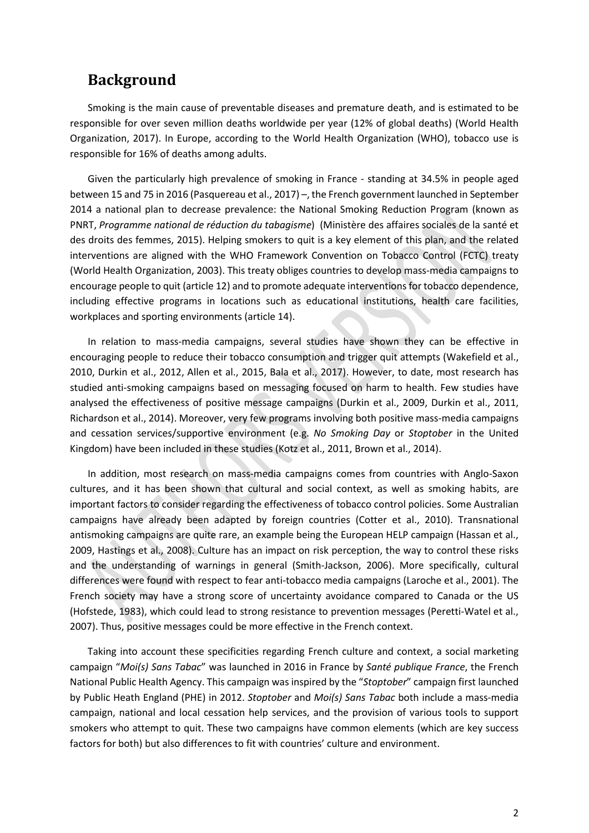### **Background**

Smoking is the main cause of preventable diseases and premature death, and is estimated to be responsible for over seven million deaths worldwide per year (12% of global deaths) (World Health Organization, 2017). In Europe, according to the World Health Organization (WHO), tobacco use is responsible for 16% of deaths among adults.

Given the particularly high prevalence of smoking in France - standing at 34.5% in people aged between 15 and 75 in 2016 (Pasquereau et al., 2017) –, the French government launched in September 2014 a national plan to decrease prevalence: the National Smoking Reduction Program (known as PNRT, *Programme national de réduction du tabagisme*) (Ministère des affaires sociales de la santé et des droits des femmes, 2015). Helping smokers to quit is a key element of this plan, and the related interventions are aligned with the WHO Framework Convention on Tobacco Control (FCTC) treaty (World Health Organization, 2003). This treaty obliges countries to develop mass-media campaigns to encourage people to quit (article 12) and to promote adequate interventions for tobacco dependence, including effective programs in locations such as educational institutions, health care facilities, workplaces and sporting environments (article 14).

In relation to mass-media campaigns, several studies have shown they can be effective in encouraging people to reduce their tobacco consumption and trigger quit attempts (Wakefield et al., 2010, Durkin et al., 2012, Allen et al., 2015, Bala et al., 2017). However, to date, most research has studied anti-smoking campaigns based on messaging focused on harm to health. Few studies have analysed the effectiveness of positive message campaigns (Durkin et al., 2009, Durkin et al., 2011, Richardson et al., 2014). Moreover, very few programs involving both positive mass-media campaigns and cessation services/supportive environment (e.g. *No Smoking Day* or *Stoptober* in the United Kingdom) have been included in these studies (Kotz et al., 2011, Brown et al., 2014).

In addition, most research on mass-media campaigns comes from countries with Anglo-Saxon cultures, and it has been shown that cultural and social context, as well as smoking habits, are important factors to consider regarding the effectiveness of tobacco control policies. Some Australian campaigns have already been adapted by foreign countries (Cotter et al., 2010). Transnational antismoking campaigns are quite rare, an example being the European HELP campaign (Hassan et al., 2009, Hastings et al., 2008). Culture has an impact on risk perception, the way to control these risks and the understanding of warnings in general (Smith-Jackson, 2006). More specifically, cultural differences were found with respect to fear anti-tobacco media campaigns (Laroche et al., 2001). The French society may have a strong score of uncertainty avoidance compared to Canada or the US (Hofstede, 1983), which could lead to strong resistance to prevention messages (Peretti-Watel et al., 2007). Thus, positive messages could be more effective in the French context.

Taking into account these specificities regarding French culture and context, a social marketing campaign "*Moi(s) Sans Tabac*" was launched in 2016 in France by *Santé publique France*, the French National Public Health Agency. This campaign was inspired by the "*Stoptober*" campaign first launched by Public Heath England (PHE) in 2012. *Stoptober* and *Moi(s) Sans Tabac* both include a mass-media campaign, national and local cessation help services, and the provision of various tools to support smokers who attempt to quit. These two campaigns have common elements (which are key success factors for both) but also differences to fit with countries' culture and environment.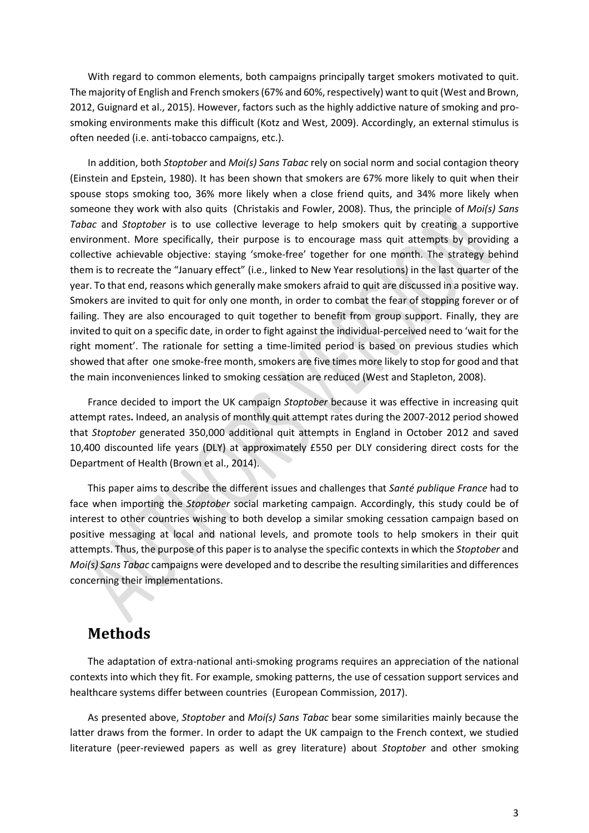With regard to common elements, both campaigns principally target smokers motivated to quit. The majority of English and French smokers (67% and 60%, respectively) want to quit (West and Brown, 2012, Guignard et al., 2015). However, factors such as the highly addictive nature of smoking and prosmoking environments make this difficult (Kotz and West, 2009). Accordingly, an external stimulus is often needed (i.e. anti-tobacco campaigns, etc.).

In addition, both *Stoptober* and *Moi(s) Sans Tabac* rely on social norm and social contagion theory (Einstein and Epstein, 1980). It has been shown that smokers are 67% more likely to quit when their spouse stops smoking too, 36% more likely when a close friend quits, and 34% more likely when someone they work with also quits (Christakis and Fowler, 2008). Thus, the principle of *Moi(s) Sans Tabac* and *Stoptober* is to use collective leverage to help smokers quit by creating a supportive environment. More specifically, their purpose is to encourage mass quit attempts by providing a collective achievable objective: staying 'smoke-free' together for one month. The strategy behind them is to recreate the "January effect" (i.e., linked to New Year resolutions) in the last quarter of the year. To that end, reasons which generally make smokers afraid to quit are discussed in a positive way. Smokers are invited to quit for only one month, in order to combat the fear of stopping forever or of failing. They are also encouraged to quit together to benefit from group support. Finally, they are invited to quit on a specific date, in order to fight against the individual-perceived need to 'wait for the right moment'. The rationale for setting a time-limited period is based on previous studies which showed that after one smoke-free month, smokers are five times more likely to stop for good and that the main inconveniences linked to smoking cessation are reduced (West and Stapleton, 2008).

France decided to import the UK campaign *Stoptober* because it was effective in increasing quit attempt rates**.** Indeed, an analysis of monthly quit attempt rates during the 2007-2012 period showed that *Stoptober* generated 350,000 additional quit attempts in England in October 2012 and saved 10,400 discounted life years (DLY) at approximately £550 per DLY considering direct costs for the Department of Health (Brown et al., 2014).

This paper aims to describe the different issues and challenges that *Santé publique France* had to face when importing the *Stoptober* social marketing campaign. Accordingly, this study could be of interest to other countries wishing to both develop a similar smoking cessation campaign based on positive messaging at local and national levels, and promote tools to help smokers in their quit attempts. Thus, the purpose of this paper is to analyse the specific contexts in which the *Stoptober* and *Moi(s) Sans Tabac* campaigns were developed and to describe the resulting similarities and differences concerning their implementations.

### **Methods**

The adaptation of extra-national anti-smoking programs requires an appreciation of the national contexts into which they fit. For example, smoking patterns, the use of cessation support services and healthcare systems differ between countries (European Commission, 2017).

As presented above, *Stoptober* and *Moi(s) Sans Tabac* bear some similarities mainly because the latter draws from the former. In order to adapt the UK campaign to the French context, we studied literature (peer-reviewed papers as well as grey literature) about *Stoptober* and other smoking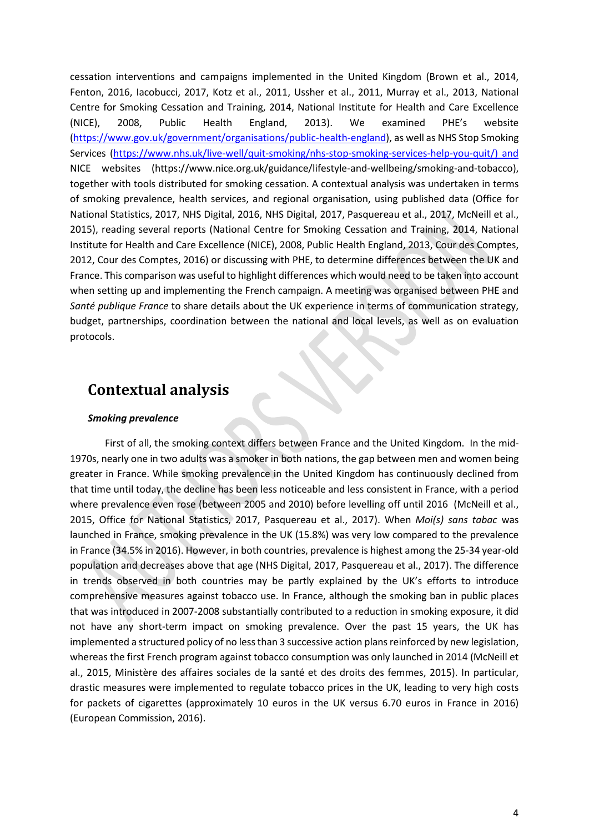cessation interventions and campaigns implemented in the United Kingdom (Brown et al., 2014, Fenton, 2016, Iacobucci, 2017, Kotz et al., 2011, Ussher et al., 2011, Murray et al., 2013, National Centre for Smoking Cessation and Training, 2014, National Institute for Health and Care Excellence (NICE), 2008, Public Health England, 2013). We examined PHE's website [\(https://www.gov.uk/government/organisations/public-health-england\)](https://www.gov.uk/government/organisations/public-health-england), as well as NHS Stop Smoking Services [\(https://www.nhs.uk/live-well/quit-smoking/nhs-stop-smoking-services-help-you-quit/\) and](https://www.nhs.uk/live-well/quit-smoking/nhs-stop-smoking-services-help-you-quit/)%20and) NICE websites (https://www.nice.org.uk/guidance/lifestyle-and-wellbeing/smoking-and-tobacco), together with tools distributed for smoking cessation. A contextual analysis was undertaken in terms of smoking prevalence, health services, and regional organisation, using published data (Office for National Statistics, 2017, NHS Digital, 2016, NHS Digital, 2017, Pasquereau et al., 2017, McNeill et al., 2015), reading several reports (National Centre for Smoking Cessation and Training, 2014, National Institute for Health and Care Excellence (NICE), 2008, Public Health England, 2013, Cour des Comptes, 2012, Cour des Comptes, 2016) or discussing with PHE, to determine differences between the UK and France. This comparison was useful to highlight differences which would need to be taken into account when setting up and implementing the French campaign. A meeting was organised between PHE and *Santé publique France* to share details about the UK experience in terms of communication strategy, budget, partnerships, coordination between the national and local levels, as well as on evaluation protocols.

## **Contextual analysis**

#### *Smoking prevalence*

First of all, the smoking context differs between France and the United Kingdom. In the mid-1970s, nearly one in two adults was a smoker in both nations, the gap between men and women being greater in France. While smoking prevalence in the United Kingdom has continuously declined from that time until today, the decline has been less noticeable and less consistent in France, with a period where prevalence even rose (between 2005 and 2010) before levelling off until 2016 (McNeill et al., 2015, Office for National Statistics, 2017, Pasquereau et al., 2017). When *Moi(s) sans tabac* was launched in France, smoking prevalence in the UK (15.8%) was very low compared to the prevalence in France (34.5% in 2016). However, in both countries, prevalence is highest among the 25-34 year-old population and decreases above that age (NHS Digital, 2017, Pasquereau et al., 2017). The difference in trends observed in both countries may be partly explained by the UK's efforts to introduce comprehensive measures against tobacco use. In France, although the smoking ban in public places that was introduced in 2007-2008 substantially contributed to a reduction in smoking exposure, it did not have any short-term impact on smoking prevalence. Over the past 15 years, the UK has implemented a structured policy of no less than 3 successive action plans reinforced by new legislation, whereas the first French program against tobacco consumption was only launched in 2014 (McNeill et al., 2015, Ministère des affaires sociales de la santé et des droits des femmes, 2015). In particular, drastic measures were implemented to regulate tobacco prices in the UK, leading to very high costs for packets of cigarettes (approximately 10 euros in the UK versus 6.70 euros in France in 2016) (European Commission, 2016).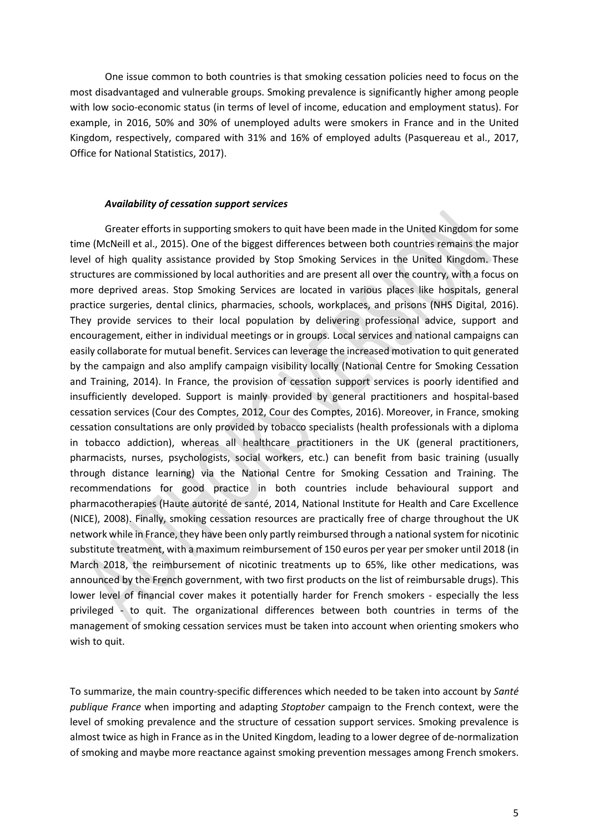One issue common to both countries is that smoking cessation policies need to focus on the most disadvantaged and vulnerable groups. Smoking prevalence is significantly higher among people with low socio-economic status (in terms of level of income, education and employment status). For example, in 2016, 50% and 30% of unemployed adults were smokers in France and in the United Kingdom, respectively, compared with 31% and 16% of employed adults (Pasquereau et al., 2017, Office for National Statistics, 2017).

#### *Availability of cessation support services*

Greater efforts in supporting smokers to quit have been made in the United Kingdom for some time (McNeill et al., 2015). One of the biggest differences between both countries remains the major level of high quality assistance provided by Stop Smoking Services in the United Kingdom. These structures are commissioned by local authorities and are present all over the country, with a focus on more deprived areas. Stop Smoking Services are located in various places like hospitals, general practice surgeries, dental clinics, pharmacies, schools, workplaces, and prisons (NHS Digital, 2016). They provide services to their local population by delivering professional advice, support and encouragement, either in individual meetings or in groups. Local services and national campaigns can easily collaborate for mutual benefit. Services can leverage the increased motivation to quit generated by the campaign and also amplify campaign visibility locally (National Centre for Smoking Cessation and Training, 2014). In France, the provision of cessation support services is poorly identified and insufficiently developed. Support is mainly provided by general practitioners and hospital-based cessation services (Cour des Comptes, 2012, Cour des Comptes, 2016). Moreover, in France, smoking cessation consultations are only provided by tobacco specialists (health professionals with a diploma in tobacco addiction), whereas all healthcare practitioners in the UK (general practitioners, pharmacists, nurses, psychologists, social workers, etc.) can benefit from basic training (usually through distance learning) via the National Centre for Smoking Cessation and Training. The recommendations for good practice in both countries include behavioural support and pharmacotherapies (Haute autorité de santé, 2014, National Institute for Health and Care Excellence (NICE), 2008). Finally, smoking cessation resources are practically free of charge throughout the UK network while in France, they have been only partly reimbursed through a national system for nicotinic substitute treatment, with a maximum reimbursement of 150 euros per year per smoker until 2018 (in March 2018, the reimbursement of nicotinic treatments up to 65%, like other medications, was announced by the French government, with two first products on the list of reimbursable drugs). This lower level of financial cover makes it potentially harder for French smokers - especially the less privileged - to quit. The organizational differences between both countries in terms of the management of smoking cessation services must be taken into account when orienting smokers who wish to quit.

To summarize, the main country-specific differences which needed to be taken into account by *Santé publique France* when importing and adapting *Stoptober* campaign to the French context, were the level of smoking prevalence and the structure of cessation support services. Smoking prevalence is almost twice as high in France as in the United Kingdom, leading to a lower degree of de-normalization of smoking and maybe more reactance against smoking prevention messages among French smokers.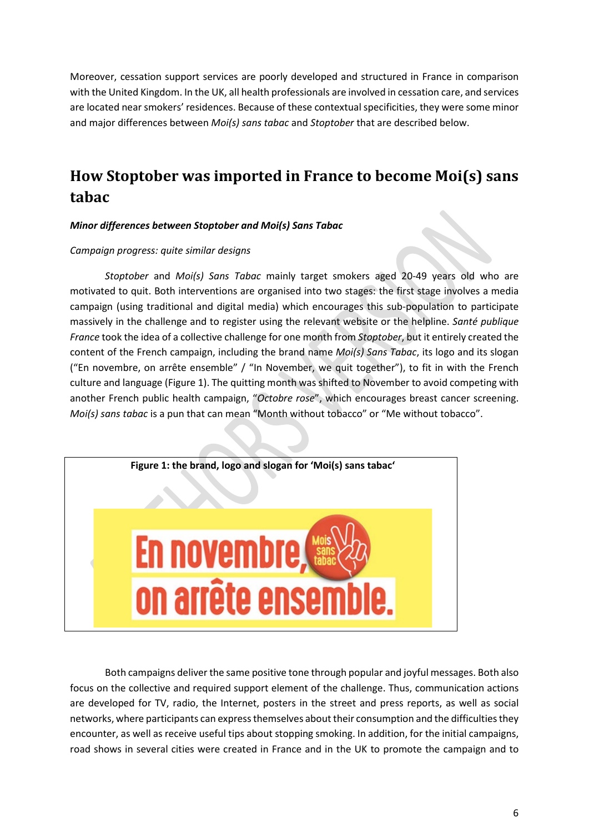Moreover, cessation support services are poorly developed and structured in France in comparison with the United Kingdom. In the UK, all health professionals are involved in cessation care, and services are located near smokers' residences. Because of these contextual specificities, they were some minor and major differences between *Moi(s) sans tabac* and *Stoptober* that are described below.

## **How Stoptober was imported in France to become Moi(s) sans tabac**

### *Minor differences between Stoptober and Moi(s) Sans Tabac*

#### *Campaign progress: quite similar designs*

*Stoptober* and *Moi(s) Sans Tabac* mainly target smokers aged 20-49 years old who are motivated to quit. Both interventions are organised into two stages: the first stage involves a media campaign (using traditional and digital media) which encourages this sub-population to participate massively in the challenge and to register using the relevant website or the helpline. *Santé publique France* took the idea of a collective challenge for one month from *Stoptober*, but it entirely created the content of the French campaign, including the brand name *Moi(s) Sans Tabac*, its logo and its slogan ("En novembre, on arrête ensemble" / "In November, we quit together"), to fit in with the French culture and language (Figure 1). The quitting month was shifted to November to avoid competing with another French public health campaign, "*Octobre rose*", which encourages breast cancer screening. *Moi(s) sans tabac* is a pun that can mean "Month without tobacco" or "Me without tobacco".



Both campaigns deliver the same positive tone through popular and joyful messages. Both also focus on the collective and required support element of the challenge. Thus, communication actions are developed for TV, radio, the Internet, posters in the street and press reports, as well as social networks, where participants can express themselves about their consumption and the difficulties they encounter, as well as receive useful tips about stopping smoking. In addition, for the initial campaigns, road shows in several cities were created in France and in the UK to promote the campaign and to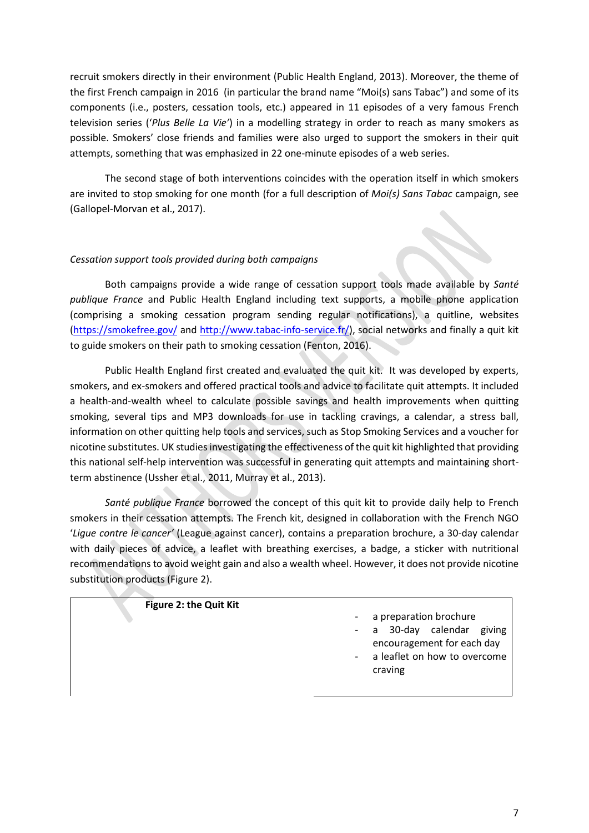recruit smokers directly in their environment (Public Health England, 2013). Moreover, the theme of the first French campaign in 2016 (in particular the brand name "Moi(s) sans Tabac") and some of its components (i.e., posters, cessation tools, etc.) appeared in 11 episodes of a very famous French television series ('*Plus Belle La Vie'*) in a modelling strategy in order to reach as many smokers as possible. Smokers' close friends and families were also urged to support the smokers in their quit attempts, something that was emphasized in 22 one-minute episodes of a web series.

The second stage of both interventions coincides with the operation itself in which smokers are invited to stop smoking for one month (for a full description of *Moi(s) Sans Tabac* campaign, see (Gallopel-Morvan et al., 2017).

### *Cessation support tools provided during both campaigns*

Both campaigns provide a wide range of cessation support tools made available by *Santé publique France* and Public Health England including text supports, a mobile phone application (comprising a smoking cessation program sending regular notifications), a quitline, websites [\(https://smokefree.gov/](https://smokefree.gov/) and [http://www.tabac-info-service.fr/\)](http://www.tabac-info-service.fr/), social networks and finally a quit kit to guide smokers on their path to smoking cessation (Fenton, 2016).

Public Health England first created and evaluated the quit kit. It was developed by experts, smokers, and ex-smokers and offered practical tools and advice to facilitate quit attempts. It included a health-and-wealth wheel to calculate possible savings and health improvements when quitting smoking, several tips and MP3 downloads for use in tackling cravings, a calendar, a stress ball, information on other quitting help tools and services, such as Stop Smoking Services and a voucher for nicotine substitutes. UK studiesinvestigating the effectiveness of the quit kit highlighted that providing this national self-help intervention was successful in generating quit attempts and maintaining shortterm abstinence (Ussher et al., 2011, Murray et al., 2013).

*Santé publique France* borrowed the concept of this quit kit to provide daily help to French smokers in their cessation attempts. The French kit, designed in collaboration with the French NGO '*Ligue contre le cancer'* (League against cancer), contains a preparation brochure, a 30-day calendar with daily pieces of advice, a leaflet with breathing exercises, a badge, a sticker with nutritional recommendations to avoid weight gain and also a wealth wheel. However, it does not provide nicotine substitution products (Figure 2).

### **Figure 2: the Quit Kit**

- a preparation brochure
- 30-day calendar giving encouragement for each day
- a leaflet on how to overcome craving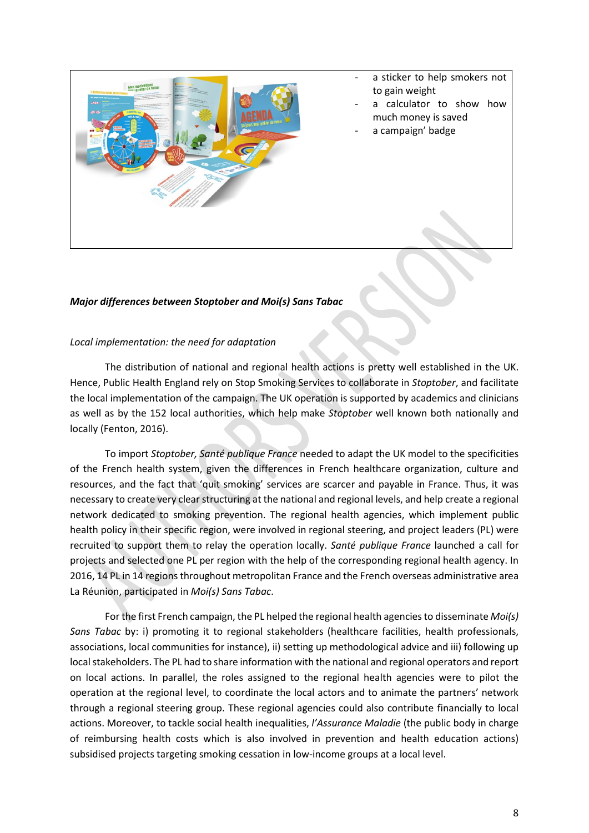

- a sticker to help smokers not to gain weight
- a calculator to show how much money is saved
- a campaign' badge

*Major differences between Stoptober and Moi(s) Sans Tabac* 

### *Local implementation: the need for adaptation*

The distribution of national and regional health actions is pretty well established in the UK. Hence, Public Health England rely on Stop Smoking Services to collaborate in *Stoptober*, and facilitate the local implementation of the campaign. The UK operation is supported by academics and clinicians as well as by the 152 local authorities, which help make *Stoptober* well known both nationally and locally (Fenton, 2016).

To import *Stoptober, Santé publique France* needed to adapt the UK model to the specificities of the French health system, given the differences in French healthcare organization, culture and resources, and the fact that 'quit smoking' services are scarcer and payable in France. Thus, it was necessary to create very clear structuring at the national and regional levels, and help create a regional network dedicated to smoking prevention. The regional health agencies, which implement public health policy in their specific region, were involved in regional steering, and project leaders (PL) were recruited to support them to relay the operation locally. *Santé publique France* launched a call for projects and selected one PL per region with the help of the corresponding regional health agency. In 2016, 14 PL in 14 regions throughout metropolitan France and the French overseas administrative area La Réunion, participated in *Moi(s) Sans Tabac*.

For the first French campaign, the PL helped the regional health agencies to disseminate *Moi(s) Sans Tabac* by: i) promoting it to regional stakeholders (healthcare facilities, health professionals, associations, local communities for instance), ii) setting up methodological advice and iii) following up local stakeholders. The PL had to share information with the national and regional operators and report on local actions. In parallel, the roles assigned to the regional health agencies were to pilot the operation at the regional level, to coordinate the local actors and to animate the partners' network through a regional steering group. These regional agencies could also contribute financially to local actions. Moreover, to tackle social health inequalities, *l'Assurance Maladie* (the public body in charge of reimbursing health costs which is also involved in prevention and health education actions) subsidised projects targeting smoking cessation in low-income groups at a local level.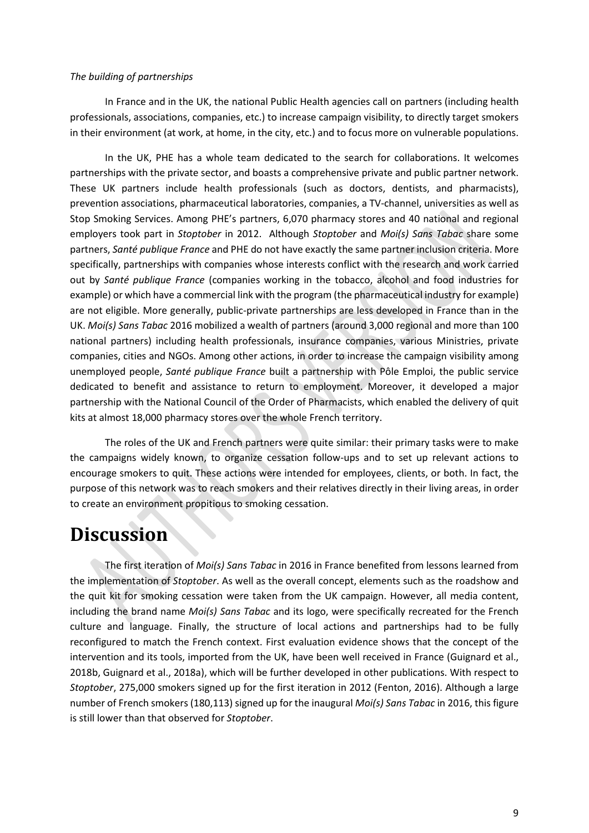#### *The building of partnerships*

In France and in the UK, the national Public Health agencies call on partners (including health professionals, associations, companies, etc.) to increase campaign visibility, to directly target smokers in their environment (at work, at home, in the city, etc.) and to focus more on vulnerable populations.

In the UK, PHE has a whole team dedicated to the search for collaborations. It welcomes partnerships with the private sector, and boasts a comprehensive private and public partner network. These UK partners include health professionals (such as doctors, dentists, and pharmacists), prevention associations, pharmaceutical laboratories, companies, a TV-channel, universities as well as Stop Smoking Services. Among PHE's partners, 6,070 pharmacy stores and 40 national and regional employers took part in *Stoptober* in 2012. Although *Stoptober* and *Moi(s) Sans Tabac* share some partners, *Santé publique France* and PHE do not have exactly the same partner inclusion criteria. More specifically, partnerships with companies whose interests conflict with the research and work carried out by *Santé publique France* (companies working in the tobacco, alcohol and food industries for example) or which have a commercial link with the program (the pharmaceutical industry for example) are not eligible. More generally, public-private partnerships are less developed in France than in the UK. *Moi(s) Sans Tabac* 2016 mobilized a wealth of partners (around 3,000 regional and more than 100 national partners) including health professionals, insurance companies, various Ministries, private companies, cities and NGOs. Among other actions, in order to increase the campaign visibility among unemployed people, *Santé publique France* built a partnership with Pôle Emploi, the public service dedicated to benefit and assistance to return to employment. Moreover, it developed a major partnership with the National Council of the Order of Pharmacists, which enabled the delivery of quit kits at almost 18,000 pharmacy stores over the whole French territory.

The roles of the UK and French partners were quite similar: their primary tasks were to make the campaigns widely known, to organize cessation follow-ups and to set up relevant actions to encourage smokers to quit. These actions were intended for employees, clients, or both. In fact, the purpose of this network was to reach smokers and their relatives directly in their living areas, in order to create an environment propitious to smoking cessation.

## **Discussion**

The first iteration of *Moi(s) Sans Tabac* in 2016 in France benefited from lessons learned from the implementation of *Stoptober*. As well as the overall concept, elements such as the roadshow and the quit kit for smoking cessation were taken from the UK campaign. However, all media content, including the brand name *Moi(s) Sans Tabac* and its logo, were specifically recreated for the French culture and language. Finally, the structure of local actions and partnerships had to be fully reconfigured to match the French context. First evaluation evidence shows that the concept of the intervention and its tools, imported from the UK, have been well received in France (Guignard et al., 2018b, Guignard et al., 2018a), which will be further developed in other publications. With respect to *Stoptober*, 275,000 smokers signed up for the first iteration in 2012 (Fenton, 2016). Although a large number of French smokers (180,113) signed up for the inaugural *Moi(s) Sans Tabac* in 2016, this figure is still lower than that observed for *Stoptober*.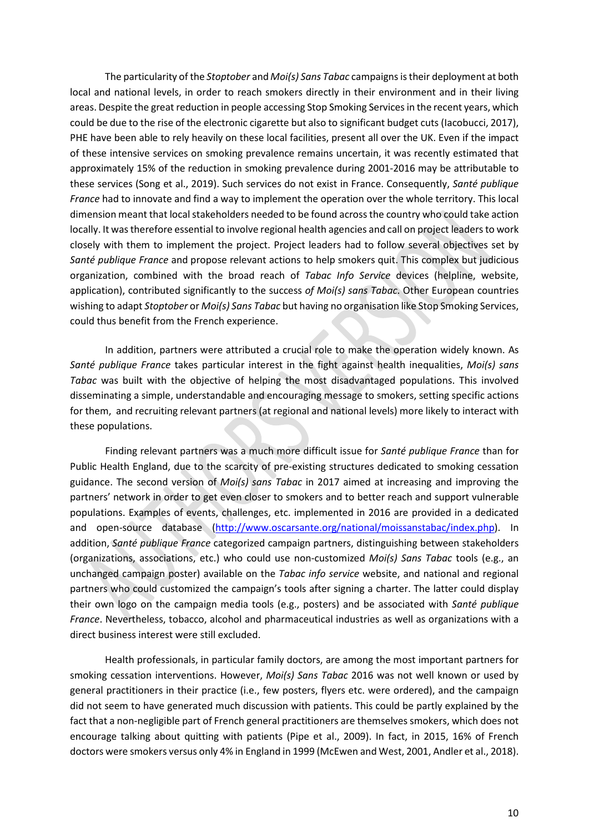The particularity of the *Stoptober* and *Moi(s) Sans Tabac* campaignsis their deployment at both local and national levels, in order to reach smokers directly in their environment and in their living areas. Despite the great reduction in people accessing Stop Smoking Servicesin the recent years, which could be due to the rise of the electronic cigarette but also to significant budget cuts (Iacobucci, 2017), PHE have been able to rely heavily on these local facilities, present all over the UK. Even if the impact of these intensive services on smoking prevalence remains uncertain, it was recently estimated that approximately 15% of the reduction in smoking prevalence during 2001-2016 may be attributable to these services (Song et al., 2019). Such services do not exist in France. Consequently, *Santé publique France* had to innovate and find a way to implement the operation over the whole territory. This local dimension meant that local stakeholders needed to be found across the country who could take action locally. It was therefore essential to involve regional health agencies and call on project leaders to work closely with them to implement the project. Project leaders had to follow several objectives set by *Santé publique France* and propose relevant actions to help smokers quit. This complex but judicious organization, combined with the broad reach of *Tabac Info Service* devices (helpline, website, application), contributed significantly to the success *of Moi(s) sans Tabac*. Other European countries wishing to adapt *Stoptober* or *Moi(s) Sans Tabac* but having no organisation like Stop Smoking Services, could thus benefit from the French experience.

In addition, partners were attributed a crucial role to make the operation widely known. As *Santé publique France* takes particular interest in the fight against health inequalities, *Moi(s) sans Tabac* was built with the objective of helping the most disadvantaged populations. This involved disseminating a simple, understandable and encouraging message to smokers, setting specific actions for them, and recruiting relevant partners (at regional and national levels) more likely to interact with these populations.

Finding relevant partners was a much more difficult issue for *Santé publique France* than for Public Health England, due to the scarcity of pre-existing structures dedicated to smoking cessation guidance. The second version of *Moi(s) sans Tabac* in 2017 aimed at increasing and improving the partners' network in order to get even closer to smokers and to better reach and support vulnerable populations. Examples of events, challenges, etc. implemented in 2016 are provided in a dedicated and open-source database [\(http://www.oscarsante.org/national/moissanstabac/index.php\)](http://www.oscarsante.org/national/moissanstabac/index.php). In addition, *Santé publique France* categorized campaign partners, distinguishing between stakeholders (organizations, associations, etc.) who could use non-customized *Moi(s) Sans Tabac* tools (e.g., an unchanged campaign poster) available on the *Tabac info service* website, and national and regional partners who could customized the campaign's tools after signing a charter. The latter could display their own logo on the campaign media tools (e.g., posters) and be associated with *Santé publique France*. Nevertheless, tobacco, alcohol and pharmaceutical industries as well as organizations with a direct business interest were still excluded.

Health professionals, in particular family doctors, are among the most important partners for smoking cessation interventions. However, *Moi(s) Sans Tabac* 2016 was not well known or used by general practitioners in their practice (i.e., few posters, flyers etc. were ordered), and the campaign did not seem to have generated much discussion with patients. This could be partly explained by the fact that a non-negligible part of French general practitioners are themselves smokers, which does not encourage talking about quitting with patients (Pipe et al., 2009). In fact, in 2015, 16% of French doctors were smokers versus only 4% in England in 1999 (McEwen and West, 2001, Andler et al., 2018).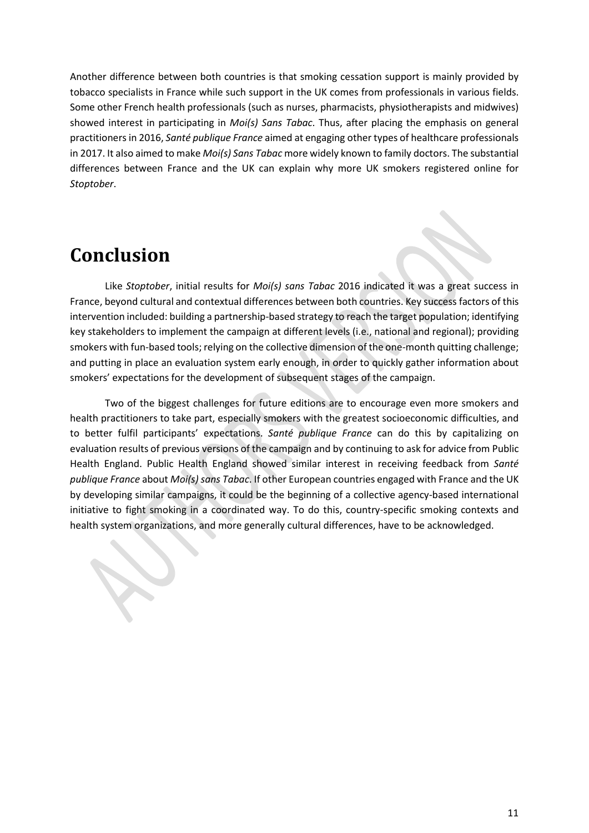Another difference between both countries is that smoking cessation support is mainly provided by tobacco specialists in France while such support in the UK comes from professionals in various fields. Some other French health professionals (such as nurses, pharmacists, physiotherapists and midwives) showed interest in participating in *Moi(s) Sans Tabac*. Thus, after placing the emphasis on general practitioners in 2016, *Santé publique France* aimed at engaging other types of healthcare professionals in 2017. It also aimed to make *Moi(s) Sans Tabac* more widely known to family doctors. The substantial differences between France and the UK can explain why more UK smokers registered online for *Stoptober*.

# **Conclusion**

Like *Stoptober*, initial results for *Moi(s) sans Tabac* 2016 indicated it was a great success in France, beyond cultural and contextual differences between both countries. Key success factors of this intervention included: building a partnership-based strategy to reach the target population; identifying key stakeholders to implement the campaign at different levels (i.e., national and regional); providing smokers with fun-based tools; relying on the collective dimension of the one-month quitting challenge; and putting in place an evaluation system early enough, in order to quickly gather information about smokers' expectations for the development of subsequent stages of the campaign.

Two of the biggest challenges for future editions are to encourage even more smokers and health practitioners to take part, especially smokers with the greatest socioeconomic difficulties, and to better fulfil participants' expectations. *Santé publique France* can do this by capitalizing on evaluation results of previous versions of the campaign and by continuing to ask for advice from Public Health England. Public Health England showed similar interest in receiving feedback from *Santé publique France* about *Moi(s) sans Tabac*. If other European countries engaged with France and the UK by developing similar campaigns, it could be the beginning of a collective agency-based international initiative to fight smoking in a coordinated way. To do this, country-specific smoking contexts and health system organizations, and more generally cultural differences, have to be acknowledged.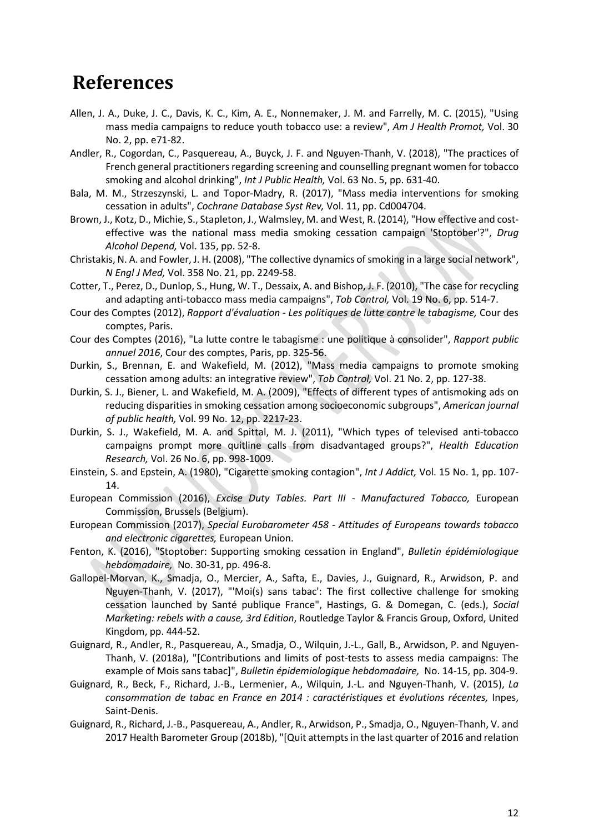## **References**

- Allen, J. A., Duke, J. C., Davis, K. C., Kim, A. E., Nonnemaker, J. M. and Farrelly, M. C. (2015), "Using mass media campaigns to reduce youth tobacco use: a review", *Am J Health Promot,* Vol. 30 No. 2, pp. e71-82.
- Andler, R., Cogordan, C., Pasquereau, A., Buyck, J. F. and Nguyen-Thanh, V. (2018), "The practices of French general practitioners regarding screening and counselling pregnant women for tobacco smoking and alcohol drinking", *Int J Public Health,* Vol. 63 No. 5, pp. 631-40.
- Bala, M. M., Strzeszynski, L. and Topor-Madry, R. (2017), "Mass media interventions for smoking cessation in adults", *Cochrane Database Syst Rev,* Vol. 11, pp. Cd004704.
- Brown, J., Kotz, D., Michie, S., Stapleton, J., Walmsley, M. and West, R. (2014), "How effective and costeffective was the national mass media smoking cessation campaign 'Stoptober'?", *Drug Alcohol Depend,* Vol. 135, pp. 52-8.
- Christakis, N. A. and Fowler, J. H. (2008), "The collective dynamics of smoking in a large social network", *N Engl J Med,* Vol. 358 No. 21, pp. 2249-58.
- Cotter, T., Perez, D., Dunlop, S., Hung, W. T., Dessaix, A. and Bishop, J. F. (2010), "The case for recycling and adapting anti-tobacco mass media campaigns", *Tob Control,* Vol. 19 No. 6, pp. 514-7.
- Cour des Comptes (2012), *Rapport d'évaluation - Les politiques de lutte contre le tabagisme,* Cour des comptes, Paris.
- Cour des Comptes (2016), "La lutte contre le tabagisme : une politique à consolider", *Rapport public annuel 2016*, Cour des comptes, Paris, pp. 325-56.
- Durkin, S., Brennan, E. and Wakefield, M. (2012), "Mass media campaigns to promote smoking cessation among adults: an integrative review", *Tob Control,* Vol. 21 No. 2, pp. 127-38.
- Durkin, S. J., Biener, L. and Wakefield, M. A. (2009), "Effects of different types of antismoking ads on reducing disparities in smoking cessation among socioeconomic subgroups", *American journal of public health,* Vol. 99 No. 12, pp. 2217-23.
- Durkin, S. J., Wakefield, M. A. and Spittal, M. J. (2011), "Which types of televised anti-tobacco campaigns prompt more quitline calls from disadvantaged groups?", *Health Education Research,* Vol. 26 No. 6, pp. 998-1009.
- Einstein, S. and Epstein, A. (1980), "Cigarette smoking contagion", *Int J Addict,* Vol. 15 No. 1, pp. 107- 14.
- European Commission (2016), *Excise Duty Tables. Part III - Manufactured Tobacco,* European Commission, Brussels (Belgium).
- European Commission (2017), *Special Eurobarometer 458 - Attitudes of Europeans towards tobacco and electronic cigarettes,* European Union.
- Fenton, K. (2016), "Stoptober: Supporting smoking cessation in England", *Bulletin épidémiologique hebdomadaire,* No. 30-31, pp. 496-8.
- Gallopel-Morvan, K., Smadja, O., Mercier, A., Safta, E., Davies, J., Guignard, R., Arwidson, P. and Nguyen-Thanh, V. (2017), "'Moi(s) sans tabac': The first collective challenge for smoking cessation launched by Santé publique France", Hastings, G. & Domegan, C. (eds.), *Social Marketing: rebels with a cause, 3rd Edition*, Routledge Taylor & Francis Group, Oxford, United Kingdom, pp. 444-52.
- Guignard, R., Andler, R., Pasquereau, A., Smadja, O., Wilquin, J.-L., Gall, B., Arwidson, P. and Nguyen-Thanh, V. (2018a), "[Contributions and limits of post-tests to assess media campaigns: The example of Mois sans tabac]", *Bulletin épidemiologique hebdomadaire,* No. 14-15, pp. 304-9.
- Guignard, R., Beck, F., Richard, J.-B., Lermenier, A., Wilquin, J.-L. and Nguyen-Thanh, V. (2015), *La consommation de tabac en France en 2014 : caractéristiques et évolutions récentes,* Inpes, Saint-Denis.
- Guignard, R., Richard, J.-B., Pasquereau, A., Andler, R., Arwidson, P., Smadja, O., Nguyen-Thanh, V. and 2017 Health Barometer Group (2018b), "[Quit attempts in the last quarter of 2016 and relation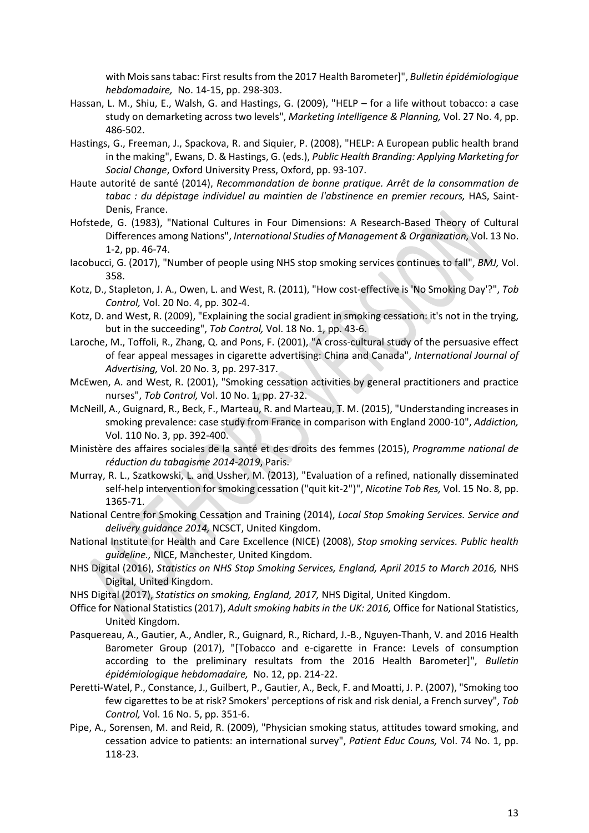with Mois sans tabac: First results from the 2017 Health Barometer]", *Bulletin épidémiologique hebdomadaire,* No. 14-15, pp. 298-303.

- Hassan, L. M., Shiu, E., Walsh, G. and Hastings, G. (2009), "HELP for a life without tobacco: a case study on demarketing across two levels", *Marketing Intelligence & Planning,* Vol. 27 No. 4, pp. 486-502.
- Hastings, G., Freeman, J., Spackova, R. and Siquier, P. (2008), "HELP: A European public health brand in the making", Ewans, D. & Hastings, G. (eds.), *Public Health Branding: Applying Marketing for Social Change*, Oxford University Press, Oxford, pp. 93-107.
- Haute autorité de santé (2014), *Recommandation de bonne pratique. Arrêt de la consommation de*  tabac : du dépistage individuel au maintien de l'abstinence en premier recours, HAS, Saint-Denis, France.
- Hofstede, G. (1983), "National Cultures in Four Dimensions: A Research-Based Theory of Cultural Differences among Nations", *International Studies of Management & Organization,* Vol. 13 No. 1-2, pp. 46-74.
- Iacobucci, G. (2017), "Number of people using NHS stop smoking services continues to fall", *BMJ,* Vol. 358.
- Kotz, D., Stapleton, J. A., Owen, L. and West, R. (2011), "How cost-effective is 'No Smoking Day'?", *Tob Control,* Vol. 20 No. 4, pp. 302-4.
- Kotz, D. and West, R. (2009), "Explaining the social gradient in smoking cessation: it's not in the trying, but in the succeeding", *Tob Control,* Vol. 18 No. 1, pp. 43-6.
- Laroche, M., Toffoli, R., Zhang, Q. and Pons, F. (2001), "A cross-cultural study of the persuasive effect of fear appeal messages in cigarette advertising: China and Canada", *International Journal of Advertising,* Vol. 20 No. 3, pp. 297-317.
- McEwen, A. and West, R. (2001), "Smoking cessation activities by general practitioners and practice nurses", *Tob Control,* Vol. 10 No. 1, pp. 27-32.
- McNeill, A., Guignard, R., Beck, F., Marteau, R. and Marteau, T. M. (2015), "Understanding increases in smoking prevalence: case study from France in comparison with England 2000-10", *Addiction,* Vol. 110 No. 3, pp. 392-400.
- Ministère des affaires sociales de la santé et des droits des femmes (2015), *Programme national de réduction du tabagisme 2014-2019*, Paris.
- Murray, R. L., Szatkowski, L. and Ussher, M. (2013), "Evaluation of a refined, nationally disseminated self-help intervention for smoking cessation ("quit kit-2")", *Nicotine Tob Res,* Vol. 15 No. 8, pp. 1365-71.
- National Centre for Smoking Cessation and Training (2014), *Local Stop Smoking Services. Service and delivery guidance 2014,* NCSCT, United Kingdom.
- National Institute for Health and Care Excellence (NICE) (2008), *Stop smoking services. Public health guideline.,* NICE, Manchester, United Kingdom.
- NHS Digital (2016), *Statistics on NHS Stop Smoking Services, England, April 2015 to March 2016,* NHS Digital, United Kingdom.
- NHS Digital (2017), *Statistics on smoking, England, 2017,* NHS Digital, United Kingdom.
- Office for National Statistics (2017), *Adult smoking habits in the UK: 2016,* Office for National Statistics, United Kingdom.
- Pasquereau, A., Gautier, A., Andler, R., Guignard, R., Richard, J.-B., Nguyen-Thanh, V. and 2016 Health Barometer Group (2017), "[Tobacco and e-cigarette in France: Levels of consumption according to the preliminary resultats from the 2016 Health Barometer]", *Bulletin épidémiologique hebdomadaire,* No. 12, pp. 214-22.
- Peretti-Watel, P., Constance, J., Guilbert, P., Gautier, A., Beck, F. and Moatti, J. P. (2007), "Smoking too few cigarettes to be at risk? Smokers' perceptions of risk and risk denial, a French survey", *Tob Control,* Vol. 16 No. 5, pp. 351-6.
- Pipe, A., Sorensen, M. and Reid, R. (2009), "Physician smoking status, attitudes toward smoking, and cessation advice to patients: an international survey", *Patient Educ Couns,* Vol. 74 No. 1, pp. 118-23.